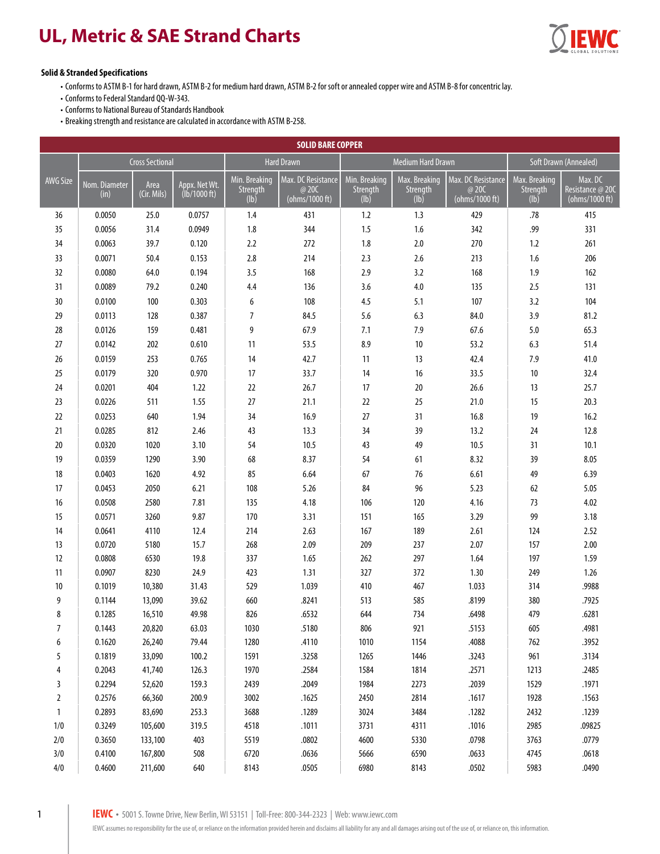## **UL, Metric & SAE Strand Charts**



## **Solid & Stranded Specifications**

• Conforms to ASTM B-1 for hard drawn, ASTM B-2 for medium hard drawn, ASTM B-2 for soft or annealed copper wire and ASTM B-8 for concentric lay.

- Conforms to Federal Standard QQ-W-343.
- Conforms to National Bureau of Standards Handbook

• Breaking strength and resistance are calculated in accordance with ASTM B-258.

| <b>SOLID BARE COPPER</b> |                        |                     |                                         |                                   |                                                                           |                                   |                                   |                                               |                                   |                                                                      |
|--------------------------|------------------------|---------------------|-----------------------------------------|-----------------------------------|---------------------------------------------------------------------------|-----------------------------------|-----------------------------------|-----------------------------------------------|-----------------------------------|----------------------------------------------------------------------|
|                          | <b>Cross Sectional</b> |                     | <b>Hard Drawn</b>                       |                                   | <b>Medium Hard Drawn</b>                                                  |                                   |                                   | Soft Drawn (Annealed)                         |                                   |                                                                      |
| <b>AWG Size</b>          | Nom. Diameter<br>(in)  | Area<br>(Cir. Mils) | Appx. Net Wt.<br>$(Ib/1000 \text{ ft})$ | Min. Breaking<br>Strength<br>(lb) | Max. DC Resistance<br>@ 20C<br>$\overline{(\text{ohms}/1000 \text{ ft})}$ | Min. Breaking<br>Strength<br>(lb) | Max. Breaking<br>Strength<br>(lb) | Max. DC Resistance<br>@ 20C<br>(ohms/1000 ft) | Max. Breaking<br>Strength<br>(lb) | $\overline{\mathsf{Max}}$ . DC<br>Resistance @ 20C<br>(ohms/1000 ft) |
| 36                       | 0.0050                 | 25.0                | 0.0757                                  | 1.4                               | 431                                                                       | 1.2                               | 1.3                               | 429                                           | .78                               | 415                                                                  |
| 35                       | 0.0056                 | 31.4                | 0.0949                                  | 1.8                               | 344                                                                       | 1.5                               | 1.6                               | 342                                           | .99                               | 331                                                                  |
| 34                       | 0.0063                 | 39.7                | 0.120                                   | 2.2                               | 272                                                                       | 1.8                               | 2.0                               | 270                                           | 1.2                               | 261                                                                  |
| 33                       | 0.0071                 | 50.4                | 0.153                                   | 2.8                               | 214                                                                       | 2.3                               | 2.6                               | 213                                           | 1.6                               | 206                                                                  |
| 32                       | 0.0080                 | 64.0                | 0.194                                   | 3.5                               | 168                                                                       | 2.9                               | 3.2                               | 168                                           | 1.9                               | 162                                                                  |
| 31                       | 0.0089                 | 79.2                | 0.240                                   | 4.4                               | 136                                                                       | 3.6                               | 4.0                               | 135                                           | 2.5                               | 131                                                                  |
| 30                       | 0.0100                 | 100                 | 0.303                                   | 6                                 | 108                                                                       | 4.5                               | 5.1                               | 107                                           | 3.2                               | 104                                                                  |
| 29                       | 0.0113                 | 128                 | 0.387                                   | $\overline{7}$                    | 84.5                                                                      | 5.6                               | 6.3                               | 84.0                                          | 3.9                               | 81.2                                                                 |
| 28                       | 0.0126                 | 159                 | 0.481                                   | 9                                 | 67.9                                                                      | 7.1                               | 7.9                               | 67.6                                          | 5.0                               | 65.3                                                                 |
| 27                       | 0.0142                 | 202                 | 0.610                                   | 11                                | 53.5                                                                      | 8.9                               | 10                                | 53.2                                          | 6.3                               | 51.4                                                                 |
| 26                       | 0.0159                 | 253                 | 0.765                                   | 14                                | 42.7                                                                      | 11                                | 13                                | 42.4                                          | 7.9                               | 41.0                                                                 |
| 25                       | 0.0179                 | 320                 | 0.970                                   | 17                                | 33.7                                                                      | 14                                | 16                                | 33.5                                          | 10                                | 32.4                                                                 |
| 24                       | 0.0201                 | 404                 | 1.22                                    | 22                                | 26.7                                                                      | 17                                | 20                                | 26.6                                          | 13                                | 25.7                                                                 |
| 23                       | 0.0226                 | 511                 | 1.55                                    | 27                                | 21.1                                                                      | 22                                | 25                                | 21.0                                          | 15                                | 20.3                                                                 |
| 22                       | 0.0253                 | 640                 | 1.94                                    | 34                                | 16.9                                                                      | 27                                | 31                                | 16.8                                          | 19                                | 16.2                                                                 |
| 21                       | 0.0285                 | 812                 | 2.46                                    | 43                                | 13.3                                                                      | 34                                | 39                                | 13.2                                          | 24                                | 12.8                                                                 |
| 20                       | 0.0320                 | 1020                | 3.10                                    | 54                                | 10.5                                                                      | 43                                | 49                                | 10.5                                          | 31                                | 10.1                                                                 |
| 19                       | 0.0359                 | 1290                | 3.90                                    | 68                                | 8.37                                                                      | 54                                | 61                                | 8.32                                          | 39                                | 8.05                                                                 |
| 18                       | 0.0403                 | 1620                | 4.92                                    | 85                                | 6.64                                                                      | 67                                | 76                                | 6.61                                          | 49                                | 6.39                                                                 |
| 17                       | 0.0453                 | 2050                | 6.21                                    | 108                               | 5.26                                                                      | 84                                | 96                                | 5.23                                          | 62                                | 5.05                                                                 |
| 16                       | 0.0508                 | 2580                | 7.81                                    | 135                               | 4.18                                                                      | 106                               | 120                               | 4.16                                          | 73                                | 4.02                                                                 |
| 15                       | 0.0571                 | 3260                | 9.87                                    | 170                               | 3.31                                                                      | 151                               | 165                               | 3.29                                          | 99                                | 3.18                                                                 |
| 14                       | 0.0641                 | 4110                | 12.4                                    | 214                               | 2.63                                                                      | 167                               | 189                               | 2.61                                          | 124                               | 2.52                                                                 |
| 13                       | 0.0720                 | 5180                | 15.7                                    | 268                               | 2.09                                                                      | 209                               | 237                               | 2.07                                          | 157                               | 2.00                                                                 |
| 12                       | 0.0808                 | 6530                | 19.8                                    | 337                               | 1.65                                                                      | 262                               | 297                               | 1.64                                          | 197                               | 1.59                                                                 |
| 11                       | 0.0907                 | 8230                | 24.9                                    | 423                               | 1.31                                                                      | 327                               | 372                               | 1.30                                          | 249                               | 1.26                                                                 |
| 10                       | 0.1019                 | 10,380              | 31.43                                   | 529                               | 1.039                                                                     | 410                               | 467                               | 1.033                                         | 314                               | .9988                                                                |
| 9                        | 0.1144                 | 13,090              | 39.62                                   | 660                               | .8241                                                                     | 513                               | 585                               | .8199                                         | 380                               | .7925                                                                |
| 8                        | 0.1285                 | 16,510              | 49.98                                   | 826                               | .6532                                                                     | 644                               | 734                               | .6498                                         | 479                               | .6281                                                                |
| 7                        | 0.1443                 | 20,820              | 63.03                                   | 1030                              | .5180                                                                     | 806                               | 921                               | .5153                                         | 605                               | .4981                                                                |
| 6                        | 0.1620                 | 26,240              | 79.44                                   | 1280                              | .4110                                                                     | 1010                              | 1154                              | .4088                                         | 762                               | .3952                                                                |
| 5                        | 0.1819                 | 33,090              | 100.2                                   | 1591                              | .3258                                                                     | 1265                              | 1446                              | .3243                                         | 961                               | .3134                                                                |
| 4                        | 0.2043                 | 41,740              | 126.3                                   | 1970                              | .2584                                                                     | 1584                              | 1814                              | .2571                                         | 1213                              | .2485                                                                |
| 3                        | 0.2294                 | 52,620              | 159.3                                   | 2439                              | .2049                                                                     | 1984                              | 2273                              | .2039                                         | 1529                              | .1971                                                                |
| $\overline{2}$           | 0.2576                 | 66,360              | 200.9                                   | 3002                              | .1625                                                                     | 2450                              | 2814                              | .1617                                         | 1928                              | .1563                                                                |
| $\mathbf{1}$             | 0.2893                 | 83,690              | 253.3                                   | 3688                              | .1289                                                                     | 3024                              | 3484                              | .1282                                         | 2432                              | .1239                                                                |
| $1/0$                    | 0.3249                 | 105,600             | 319.5                                   | 4518                              | .1011                                                                     | 3731                              | 4311                              | .1016                                         | 2985                              | .09825                                                               |
| 2/0                      | 0.3650                 | 133,100             | 403                                     | 5519                              | .0802                                                                     | 4600                              | 5330                              | .0798                                         | 3763                              | .0779                                                                |
| 3/0                      | 0.4100                 | 167,800             | 508                                     | 6720                              | .0636                                                                     | 5666                              | 6590                              | .0633                                         | 4745                              | .0618                                                                |
| 4/0                      | 0.4600                 | 211,600             | 640                                     | 8143                              | .0505                                                                     | 6980                              | 8143                              | .0502                                         | 5983                              | .0490                                                                |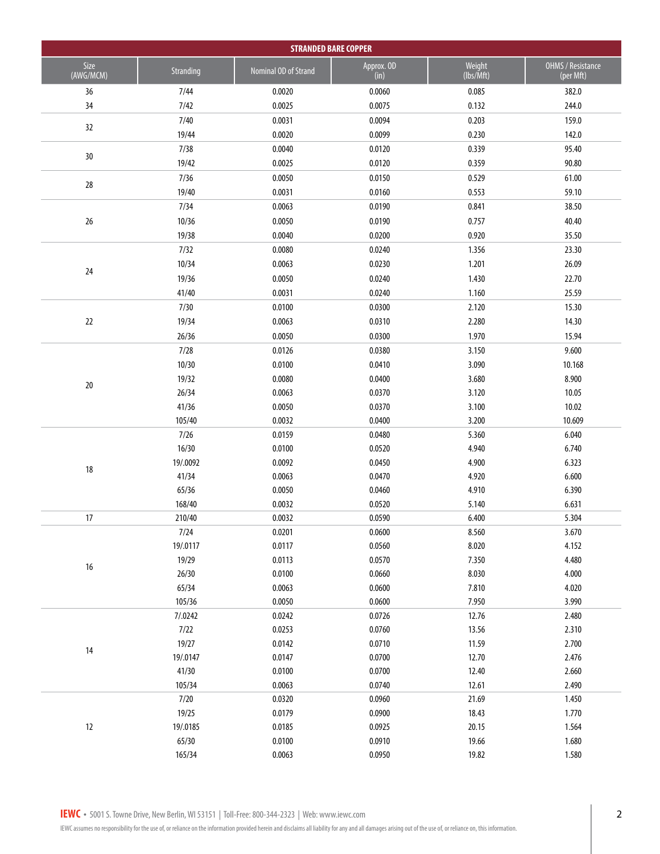| <b>STRANDED BARE COPPER</b> |                   |                      |                    |                                |                                |  |  |
|-----------------------------|-------------------|----------------------|--------------------|--------------------------------|--------------------------------|--|--|
| Size<br>(AWG/MCM)           | Stranding         | Nominal OD of Strand | Approx. OD<br>(in) | Weight<br>$\sqrt{I}$ (lbs/Mft) | OHMS / Resistance<br>(per Mft) |  |  |
| 36                          | 7/44              | 0.0020               | 0.0060             | 0.085                          | 382.0                          |  |  |
| 34                          | 7/42              | 0.0025               | 0.0075             | 0.132                          | 244.0                          |  |  |
| 32                          | 7/40              | 0.0031               | 0.0094             | 0.203                          | 159.0                          |  |  |
|                             | 19/44             | 0.0020               | 0.0099             | 0.230                          | 142.0                          |  |  |
| 30                          | 7/38              | 0.0040               | 0.0120             | 0.339                          | 95.40                          |  |  |
|                             | 19/42             | 0.0025               | 0.0120             | 0.359                          | 90.80                          |  |  |
| 28                          | 7/36              | 0.0050               | 0.0150             | 0.529                          | 61.00                          |  |  |
|                             | 19/40             | 0.0031               | 0.0160             | 0.553                          | 59.10                          |  |  |
|                             | 7/34              | 0.0063               | 0.0190             | 0.841                          | 38.50                          |  |  |
| 26                          | 10/36             | 0.0050               | 0.0190             | 0.757                          | 40.40                          |  |  |
|                             | 19/38             | 0.0040               | 0.0200             | 0.920                          | 35.50                          |  |  |
|                             | 7/32              | 0.0080               | 0.0240             | 1.356                          | 23.30                          |  |  |
| 24                          | 10/34             | 0.0063               | 0.0230             | 1.201                          | 26.09                          |  |  |
|                             | 19/36             | 0.0050               | 0.0240             | 1.430                          | 22.70                          |  |  |
|                             | 41/40             | 0.0031               | 0.0240             | 1.160                          | 25.59                          |  |  |
|                             | 7/30              | 0.0100               | 0.0300             | 2.120                          | 15.30                          |  |  |
| 22                          | 19/34             | 0.0063               | 0.0310             | 2.280                          | 14.30                          |  |  |
|                             | 26/36             | 0.0050               | 0.0300             | 1.970                          | 15.94                          |  |  |
|                             | 7/28              | 0.0126               | 0.0380             | 3.150                          | 9.600                          |  |  |
|                             | 10/30             | 0.0100               | 0.0410             | 3.090                          | 10.168                         |  |  |
| $20$                        | 19/32             | 0.0080               | 0.0400             | 3.680                          | 8.900                          |  |  |
|                             | 26/34             | 0.0063               | 0.0370             | 3.120                          | 10.05                          |  |  |
|                             | 41/36             | 0.0050               | 0.0370             | 3.100                          | 10.02                          |  |  |
|                             | 105/40            | 0.0032               | 0.0400             | 3.200                          | 10.609                         |  |  |
|                             | 7/26              | 0.0159               | 0.0480             | 5.360                          | 6.040                          |  |  |
|                             | 16/30             | 0.0100               | 0.0520<br>0.0450   | 4.940                          | 6.740<br>6.323                 |  |  |
| 18                          | 19/.0092<br>41/34 | 0.0092<br>0.0063     | 0.0470             | 4.900<br>4.920                 | 6.600                          |  |  |
|                             | 65/36             | 0.0050               | 0.0460             | 4.910                          | 6.390                          |  |  |
|                             | 168/40            | 0.0032               | 0.0520             | 5.140                          | 6.631                          |  |  |
| 17                          | 210/40            | 0.0032               | 0.0590             | 6.400                          | 5.304                          |  |  |
|                             | 7/24              | 0.0201               | 0.0600             | 8.560                          | 3.670                          |  |  |
|                             | 19/.0117          | 0.0117               | 0.0560             | 8.020                          | 4.152                          |  |  |
|                             | 19/29             | 0.0113               | 0.0570             | 7.350                          | 4.480                          |  |  |
| $16\,$                      | 26/30             | 0.0100               | 0.0660             | 8.030                          | 4.000                          |  |  |
|                             | 65/34             | 0.0063               | 0.0600             | 7.810                          | 4.020                          |  |  |
|                             | 105/36            | 0.0050               | 0.0600             | 7.950                          | 3.990                          |  |  |
|                             | 7/0.0242          | 0.0242               | 0.0726             | 12.76                          | 2.480                          |  |  |
|                             | 7/22              | 0.0253               | 0.0760             | 13.56                          | 2.310                          |  |  |
| 14                          | 19/27             | 0.0142               | 0.0710             | 11.59                          | 2.700                          |  |  |
|                             | 19/.0147          | 0.0147               | 0.0700             | 12.70                          | 2.476                          |  |  |
|                             | 41/30             | 0.0100               | 0.0700             | 12.40                          | 2.660                          |  |  |
|                             | 105/34            | 0.0063               | 0.0740             | 12.61                          | 2.490                          |  |  |
|                             | 7/20              | 0.0320               | 0.0960             | 21.69                          | 1.450                          |  |  |
|                             | 19/25             | 0.0179               | 0.0900             | 18.43                          | 1.770                          |  |  |
| 12                          | 19/.0185          | 0.0185               | 0.0925             | 20.15                          | 1.564                          |  |  |
|                             | 65/30             | 0.0100               | 0.0910             | 19.66                          | 1.680                          |  |  |
|                             | 165/34            | 0.0063               | 0.0950             | 19.82                          | 1.580                          |  |  |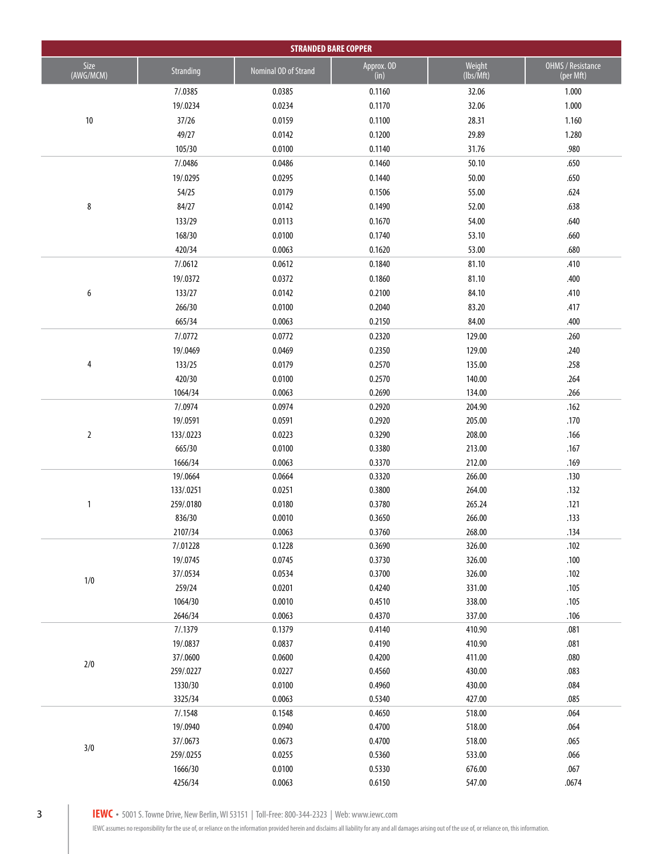|                   | <b>STRANDED BARE COPPER</b> |                      |                    |                     |                                |  |
|-------------------|-----------------------------|----------------------|--------------------|---------------------|--------------------------------|--|
| Size<br>(AWG/MCM) | Stranding                   | Nominal OD of Strand | Approx. OD<br>(in) | Weight<br>(lbs/Mft) | OHMS / Resistance<br>(per Mft) |  |
|                   | 7/.0385                     | 0.0385               | 0.1160             | 32.06               | 1.000                          |  |
|                   | 19/.0234                    | 0.0234               | 0.1170             | 32.06               | 1.000                          |  |
| $10\,$            | 37/26                       | 0.0159               | 0.1100             | 28.31               | 1.160                          |  |
|                   | 49/27                       | 0.0142               | 0.1200             | 29.89               | 1.280                          |  |
|                   | 105/30                      | 0.0100               | 0.1140             | 31.76               | .980                           |  |
|                   | 7/.0486                     | 0.0486               | 0.1460             | 50.10               | .650                           |  |
|                   | 19/.0295                    | 0.0295               | 0.1440             | 50.00               | .650                           |  |
|                   | 54/25                       | 0.0179               | 0.1506             | 55.00               | .624                           |  |
| 8                 | 84/27                       | 0.0142               | 0.1490             | 52.00               | .638                           |  |
|                   | 133/29                      | 0.0113               | 0.1670             | 54.00               | .640                           |  |
|                   | 168/30                      | 0.0100               | 0.1740             | 53.10               | .660                           |  |
|                   | 420/34                      | 0.0063               | 0.1620             | 53.00               | .680                           |  |
|                   | 7/.0612                     | 0.0612               | 0.1840             | 81.10               | .410                           |  |
|                   | 19/.0372                    | 0.0372               | 0.1860             | 81.10               | .400                           |  |
| 6                 | 133/27                      | 0.0142               | 0.2100             | 84.10               | .410                           |  |
|                   | 266/30                      | 0.0100               | 0.2040             | 83.20               | .417                           |  |
|                   | 665/34                      | 0.0063               | 0.2150             | 84.00               | .400                           |  |
|                   | 7/.0772                     | 0.0772               | 0.2320             | 129.00              | .260                           |  |
|                   | 19/.0469                    | 0.0469               | 0.2350             | 129.00              | .240                           |  |
| 4                 | 133/25                      | 0.0179               | 0.2570             | 135.00              | .258                           |  |
|                   | 420/30                      | 0.0100               | 0.2570             | 140.00              | .264                           |  |
|                   | 1064/34                     | 0.0063               | 0.2690             | 134.00              | .266                           |  |
|                   | 7/.0974                     | 0.0974               | 0.2920             | 204.90              | .162                           |  |
|                   | 19/.0591                    | 0.0591               | 0.2920             | 205.00              | .170                           |  |
| $\sqrt{2}$        | 133/.0223                   | 0.0223               | 0.3290             | 208.00              | .166                           |  |
|                   | 665/30                      | 0.0100               | 0.3380             | 213.00              | .167                           |  |
|                   | 1666/34                     | 0.0063               | 0.3370             | 212.00              | .169                           |  |
|                   | 19/.0664                    | 0.0664               | 0.3320             | 266.00              | .130                           |  |
|                   | 133/.0251                   | 0.0251               | 0.3800             | 264.00              | .132                           |  |
| 1                 | 259/.0180                   | 0.0180               | 0.3780             | 265.24              | .121                           |  |
|                   | 836/30                      | 0.0010               | 0.3650             | 266.00              | .133                           |  |
|                   | 2107/34                     | 0.0063               | 0.3760             | 268.00              | .134                           |  |
|                   | 7/.01228                    | 0.1228               | 0.3690             | 326.00              | .102                           |  |
|                   | 19/.0745                    | 0.0745               | 0.3730             | 326.00              | .100                           |  |
| $1/0$             | 37/.0534                    | 0.0534               | 0.3700             | 326.00              | .102                           |  |
|                   | 259/24                      | 0.0201               | 0.4240             | 331.00              | .105                           |  |
|                   | 1064/30                     | 0.0010               | 0.4510             | 338.00              | .105                           |  |
|                   | 2646/34                     | 0.0063               | 0.4370             | 337.00              | .106                           |  |
|                   | 7/.1379                     | 0.1379               | 0.4140             | 410.90              | .081                           |  |
|                   | 19/.0837                    | 0.0837               | 0.4190             | 410.90              | .081                           |  |
| $2/0$             | 37/.0600                    | 0.0600               | 0.4200             | 411.00              | .080                           |  |
|                   | 259/.0227                   | 0.0227               | 0.4560             | 430.00              | .083                           |  |
|                   | 1330/30                     | 0.0100               | 0.4960             | 430.00              | .084                           |  |
|                   | 3325/34                     | 0.0063               | 0.5340             | 427.00              | .085                           |  |
|                   | 7/.1548                     | 0.1548               | 0.4650             | 518.00              | $.064$                         |  |
|                   | 19/.0940                    | 0.0940               | 0.4700             | 518.00              | .064                           |  |
| $3/0$             | 37/.0673                    | 0.0673               | 0.4700             | 518.00              | .065                           |  |
|                   | 259/.0255                   | 0.0255               | 0.5360             | 533.00              | $.066$                         |  |
|                   | 1666/30                     | 0.0100               | 0.5330             | 676.00              | .067                           |  |
|                   | 4256/34                     | 0.0063               | 0.6150             | 547.00              | .0674                          |  |

**IEWC** • 5001 S. Towne Drive, New Berlin, WI 53151 | Toll-Free: 800-344-2323 | Web: www.iewc.com

IEWC assumes no responsibility for the use of, or reliance on the information provided herein and disclaims all liability for any and all damages arising out of the use of, or reliance on, this information.